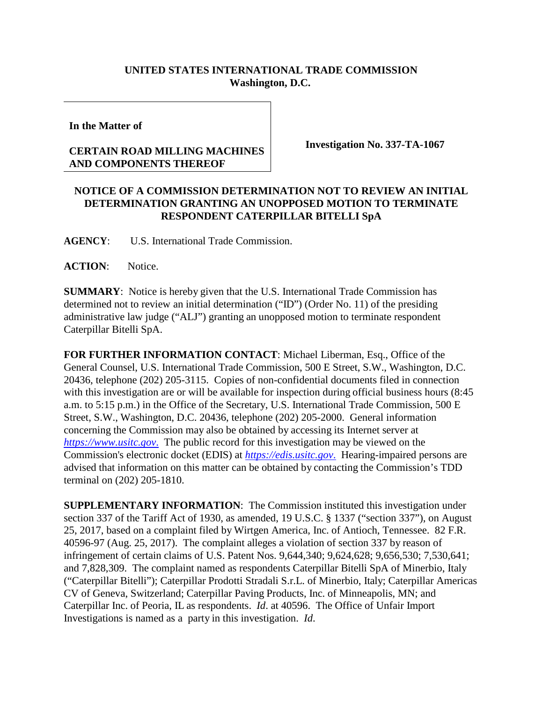## **UNITED STATES INTERNATIONAL TRADE COMMISSION Washington, D.C.**

**In the Matter of**

## **CERTAIN ROAD MILLING MACHINES AND COMPONENTS THEREOF**

**Investigation No. 337-TA-1067**

## **NOTICE OF A COMMISSION DETERMINATION NOT TO REVIEW AN INITIAL DETERMINATION GRANTING AN UNOPPOSED MOTION TO TERMINATE RESPONDENT CATERPILLAR BITELLI SpA**

**AGENCY**: U.S. International Trade Commission.

**ACTION**: Notice.

**SUMMARY**: Notice is hereby given that the U.S. International Trade Commission has determined not to review an initial determination ("ID") (Order No. 11) of the presiding administrative law judge ("ALJ") granting an unopposed motion to terminate respondent Caterpillar Bitelli SpA.

**FOR FURTHER INFORMATION CONTACT**: Michael Liberman, Esq., Office of the General Counsel, U.S. International Trade Commission, 500 E Street, S.W., Washington, D.C. 20436, telephone (202) 205-3115. Copies of non-confidential documents filed in connection with this investigation are or will be available for inspection during official business hours (8:45 a.m. to 5:15 p.m.) in the Office of the Secretary, U.S. International Trade Commission, 500 E Street, S.W., Washington, D.C. 20436, telephone (202) 205-2000. General information concerning the Commission may also be obtained by accessing its Internet server at *[https://www.usitc.gov](https://www.usitc.gov./)*. The public record for this investigation may be viewed on the Commission's electronic docket (EDIS) at *[https://edis.usitc.gov](https://edis.usitc.gov./)*. Hearing-impaired persons are advised that information on this matter can be obtained by contacting the Commission's TDD terminal on (202) 205-1810.

**SUPPLEMENTARY INFORMATION**: The Commission instituted this investigation under section 337 of the Tariff Act of 1930, as amended, 19 U.S.C. § 1337 ("section 337"), on August 25, 2017, based on a complaint filed by Wirtgen America, Inc. of Antioch, Tennessee. 82 F.R. 40596-97 (Aug. 25, 2017). The complaint alleges a violation of section 337 by reason of infringement of certain claims of U.S. Patent Nos. 9,644,340; 9,624,628; 9,656,530; 7,530,641; and 7,828,309. The complaint named as respondents Caterpillar Bitelli SpA of Minerbio, Italy ("Caterpillar Bitelli"); Caterpillar Prodotti Stradali S.r.L. of Minerbio, Italy; Caterpillar Americas CV of Geneva, Switzerland; Caterpillar Paving Products, Inc. of Minneapolis, MN; and Caterpillar Inc. of Peoria, IL as respondents. *Id*. at 40596. The Office of Unfair Import Investigations is named as a party in this investigation. *Id*.